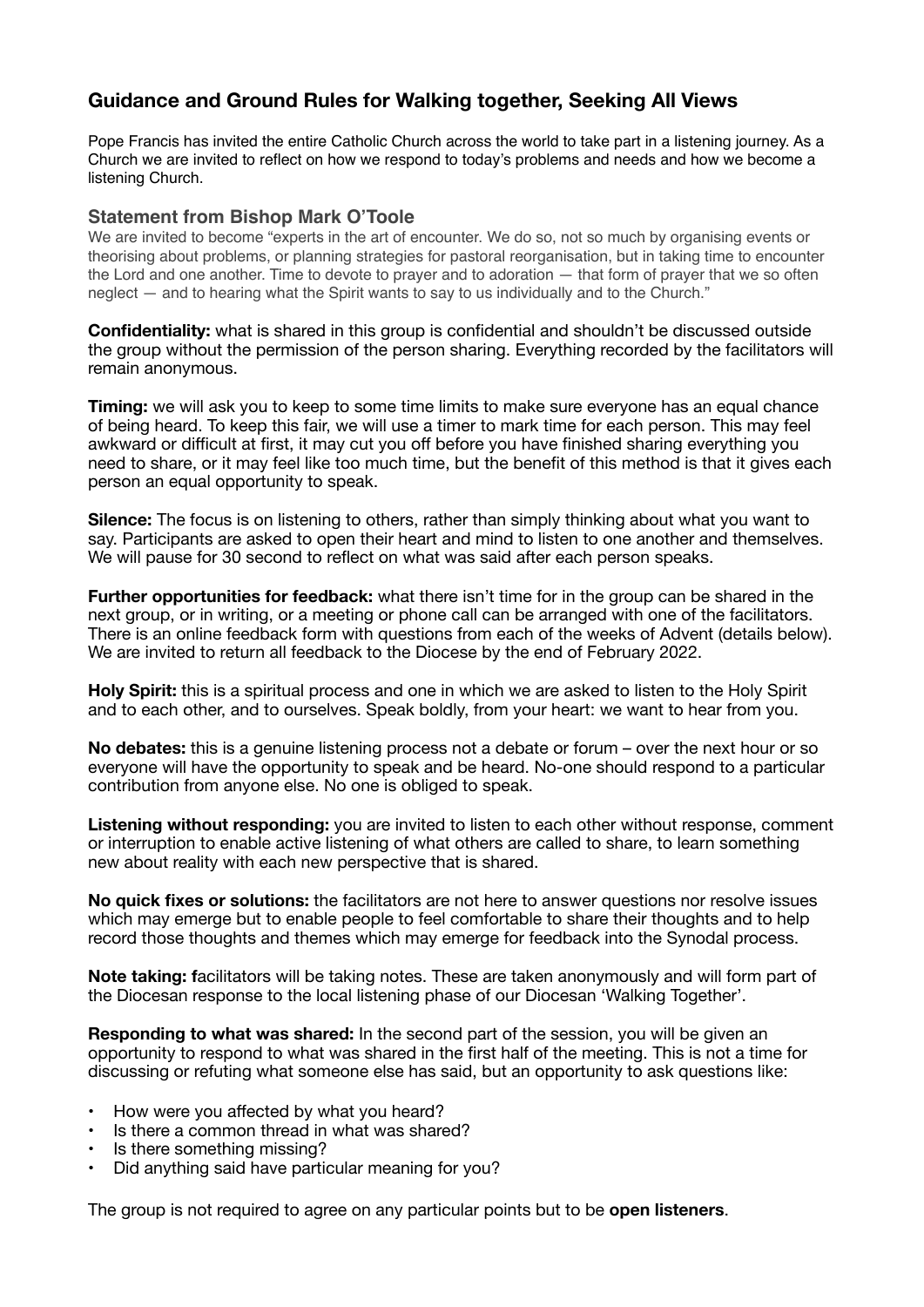# **Guidance and Ground Rules for Walking together, Seeking All Views**

Pope Francis has invited the entire Catholic Church across the world to take part in a listening journey. As a Church we are invited to reflect on how we respond to today's problems and needs and how we become a listening Church.

### **Statement from Bishop Mark O'Toole**

We are invited to become "experts in the art of encounter. We do so, not so much by organising events or theorising about problems, or planning strategies for pastoral reorganisation, but in taking time to encounter the Lord and one another. Time to devote to prayer and to adoration — that form of prayer that we so often neglect — and to hearing what the Spirit wants to say to us individually and to the Church."

**Confidentiality:** what is shared in this group is confidential and shouldn't be discussed outside the group without the permission of the person sharing. Everything recorded by the facilitators will remain anonymous.

**Timing:** we will ask you to keep to some time limits to make sure everyone has an equal chance of being heard. To keep this fair, we will use a timer to mark time for each person. This may feel awkward or difficult at first, it may cut you off before you have finished sharing everything you need to share, or it may feel like too much time, but the benefit of this method is that it gives each person an equal opportunity to speak.

**Silence:** The focus is on listening to others, rather than simply thinking about what you want to say. Participants are asked to open their heart and mind to listen to one another and themselves. We will pause for 30 second to reflect on what was said after each person speaks.

**Further opportunities for feedback:** what there isn't time for in the group can be shared in the next group, or in writing, or a meeting or phone call can be arranged with one of the facilitators. There is an online feedback form with questions from each of the weeks of Advent (details below). We are invited to return all feedback to the Diocese by the end of February 2022.

**Holy Spirit:** this is a spiritual process and one in which we are asked to listen to the Holy Spirit and to each other, and to ourselves. Speak boldly, from your heart: we want to hear from you.

**No debates:** this is a genuine listening process not a debate or forum – over the next hour or so everyone will have the opportunity to speak and be heard. No-one should respond to a particular contribution from anyone else. No one is obliged to speak.

**Listening without responding:** you are invited to listen to each other without response, comment or interruption to enable active listening of what others are called to share, to learn something new about reality with each new perspective that is shared.

**No quick fixes or solutions:** the facilitators are not here to answer questions nor resolve issues which may emerge but to enable people to feel comfortable to share their thoughts and to help record those thoughts and themes which may emerge for feedback into the Synodal process.

**Note taking: f**acilitators will be taking notes. These are taken anonymously and will form part of the Diocesan response to the local listening phase of our Diocesan 'Walking Together'.

**Responding to what was shared:** In the second part of the session, you will be given an opportunity to respond to what was shared in the first half of the meeting. This is not a time for discussing or refuting what someone else has said, but an opportunity to ask questions like:

- How were you affected by what you heard?
- Is there a common thread in what was shared?
- Is there something missing?
- Did anything said have particular meaning for you?

The group is not required to agree on any particular points but to be **open listeners**.